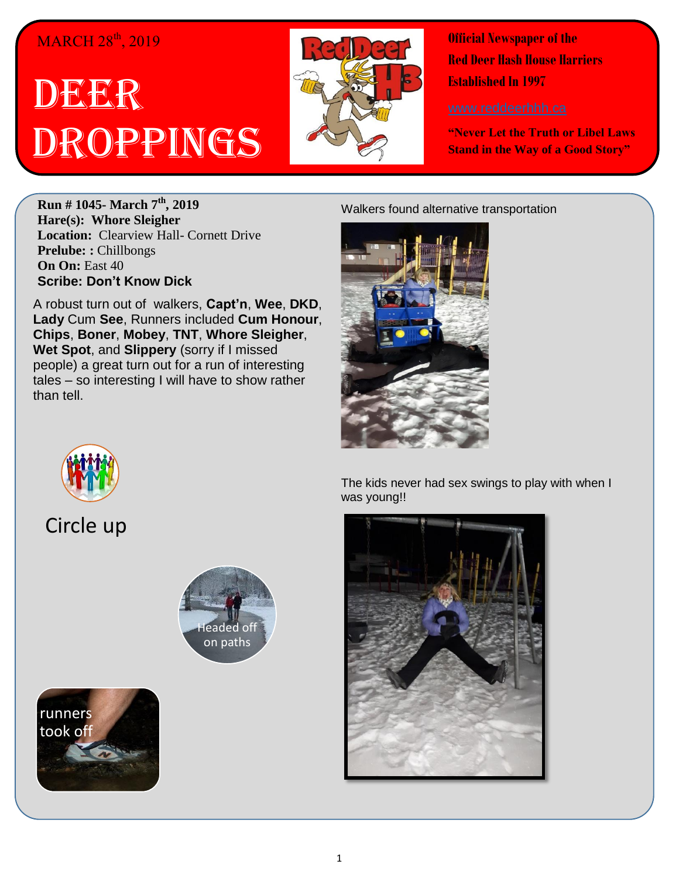## MARCH 28<sup>th</sup>, 2019

## DEER Droppings



**Official Newspaper of the Red Deer Hash House Harriers Established In 1997** 

**"Never Let the Truth or Libel Laws Stand in the Way of a Good Story"**

**Run # 1045- March 7th, 2019 Hare(s): Whore Sleigher Location:** Clearview Hall- Cornett Drive **Prelube: :** Chillbongs **On On:** East 40 **Scribe: Don't Know Dick**

A robust turn out of walkers, **Capt'n**, **Wee**, **DKD**, **Lady** Cum **See**, Runners included **Cum Honour**, **Chips**, **Boner**, **Mobey**, **TNT**, **Whore Sleigher**, **Wet Spot**, and **Slippery** (sorry if I missed people) a great turn out for a run of interesting tales – so interesting I will have to show rather than tell.

## Walkers found alternative transportation





Circle up





The kids never had sex swings to play with when I was young!!